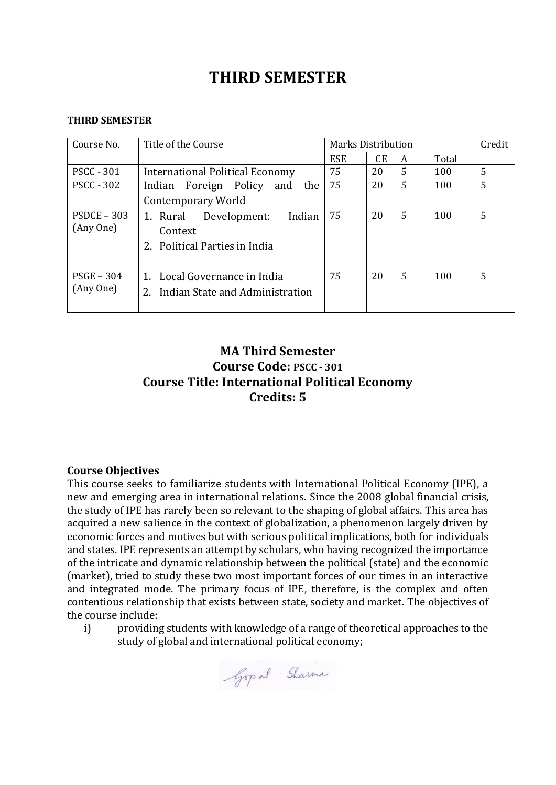# **THIRD SEMESTER**

#### **THIRD SEMESTER**

| Course No.                 | Title of the Course                                                            | <b>Marks Distribution</b> |    |   |       | Credit |
|----------------------------|--------------------------------------------------------------------------------|---------------------------|----|---|-------|--------|
|                            |                                                                                | <b>ESE</b>                | CЕ | A | Total |        |
| <b>PSCC - 301</b>          | <b>International Political Economy</b>                                         | 75                        | 20 | 5 | 100   | 5      |
| <b>PSCC - 302</b>          | Indian Foreign Policy<br>the<br>and                                            | 75                        | 20 | 5 | 100   | 5      |
|                            | Contemporary World                                                             |                           |    |   |       |        |
| $PSDCE - 303$<br>(Any One) | Indian<br>Development:<br>1. Rural<br>Context<br>2. Political Parties in India | 75                        | 20 | 5 | 100   | 5      |
| $PSGE - 304$<br>(Any One)  | 1. Local Governance in India<br>Indian State and Administration<br>2.          | 75                        | 20 | 5 | 100   | 5      |

## **MA Third Semester Course Code: PSCC - 301 Course Title: International Political Economy Credits: 5**

## **Course Objectives**

This course seeks to familiarize students with International Political Economy (IPE), a new and emerging area in international relations. Since the 2008 global financial crisis, the study of IPE has rarely been so relevant to the shaping of global affairs. This area has acquired a new salience in the context of globalization, a phenomenon largely driven by economic forces and motives but with serious political implications, both for individuals and states. IPE represents an attempt by scholars, who having recognized the importance of the intricate and dynamic relationship between the political (state) and the economic (market), tried to study these two most important forces of our times in an interactive and integrated mode. The primary focus of IPE, therefore, is the complex and often contentious relationship that exists between state, society and market. The objectives of the course include:

i) providing students with knowledge of a range of theoretical approaches to the study of global and international political economy;

Gop al Sharma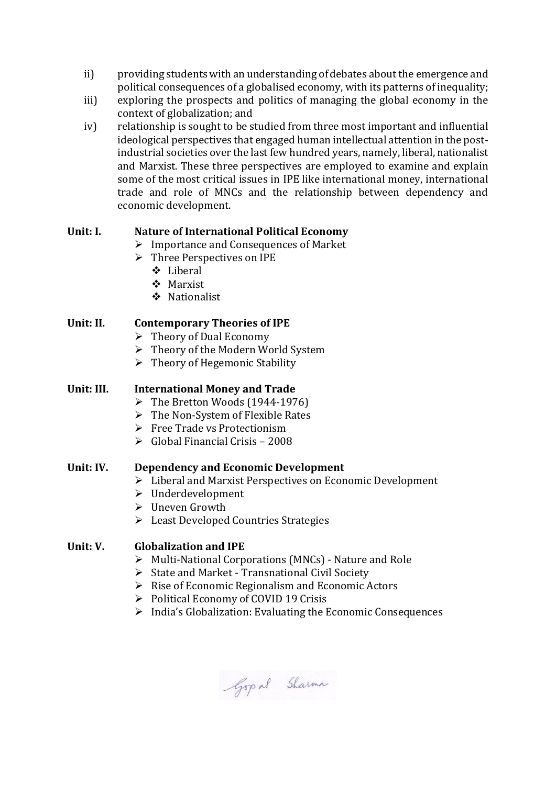- ii) providing students with an understanding of debates about the emergence and political consequences of a globalised economy, with its patterns of inequality;
- iii) exploring the prospects and politics of managing the global economy in the context of globalization; and
- iv) relationship is sought to be studied from three most important and influential ideological perspectives that engaged human intellectual attention in the postindustrial societies over the last few hundred years, namely, liberal, nationalist and Marxist. These three perspectives are employed to examine and explain some of the most critical issues in IPE like international money, international trade and role of MNCs and the relationship between dependency and economic development.

## **Unit: I. Nature of International Political Economy**

- $\triangleright$  Importance and Consequences of Market
- Three Perspectives on IPE
	- Liberal
	- Marxist
	- Nationalist

### **Unit: II. Contemporary Theories of IPE**

- $\triangleright$  Theory of Dual Economy
- $\triangleright$  Theory of the Modern World System
- $\triangleright$  Theory of Hegemonic Stability

### **Unit: III. International Money and Trade**

- $\triangleright$  The Bretton Woods (1944-1976)
- $\triangleright$  The Non-System of Flexible Rates
- $\triangleright$  Free Trade vs Protectionism
- $\triangleright$  Global Financial Crisis 2008

#### **Unit: IV. Dependency and Economic Development**

- Liberal and Marxist Perspectives on Economic Development
- Underdevelopment
- Uneven Growth
- Eeast Developed Countries Strategies

## **Unit: V. Globalization and IPE**

- Multi-National Corporations (MNCs) Nature and Role
- $\triangleright$  State and Market Transnational Civil Society
- $\triangleright$  Rise of Economic Regionalism and Economic Actors
- $\triangleright$  Political Economy of COVID 19 Crisis
- $\triangleright$  India's Globalization: Evaluating the Economic Consequences

Gop al Sharma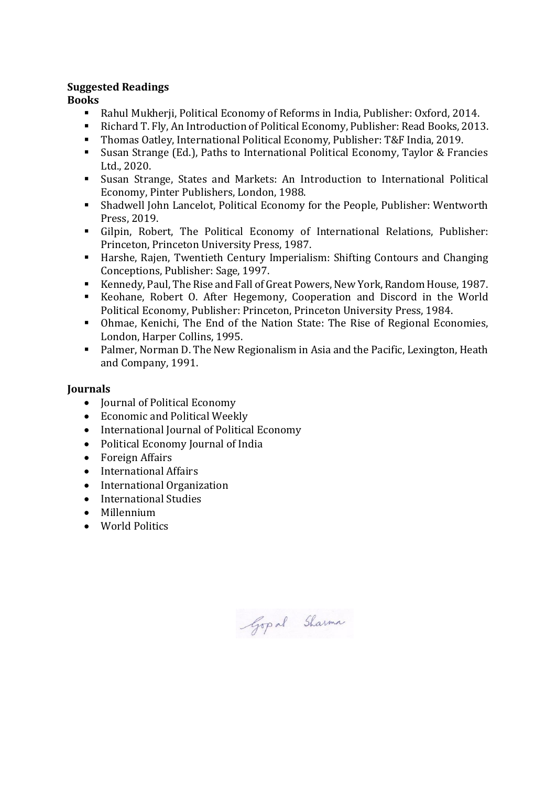## **Suggested Readings**

## **Books**

- Rahul Mukherji, Political Economy of Reforms in India, Publisher: Oxford, 2014.
- Richard T. Fly, An Introduction of Political Economy, Publisher: Read Books, 2013.
- Thomas Oatley, International Political Economy, Publisher: T&F India, 2019.
- Susan Strange (Ed.), Paths to International Political Economy, Taylor & Francies Ltd., 2020.
- Susan Strange, States and Markets: An Introduction to International Political Economy, Pinter Publishers, London, 1988.
- Shadwell John Lancelot, Political Economy for the People, Publisher: Wentworth Press, 2019.
- Gilpin, Robert, The Political Economy of International Relations, Publisher: Princeton, Princeton University Press, 1987.
- Harshe, Rajen, Twentieth Century Imperialism: Shifting Contours and Changing Conceptions, Publisher: Sage, 1997.
- Kennedy, Paul, The Rise and Fall of Great Powers, New York, Random House, 1987.
- Keohane, Robert O. After Hegemony, Cooperation and Discord in the World Political Economy, Publisher: Princeton, Princeton University Press, 1984.
- Ohmae, Kenichi, The End of the Nation State: The Rise of Regional Economies, London, Harper Collins, 1995.
- **Palmer, Norman D. The New Regionalism in Asia and the Pacific, Lexington, Heath** and Company, 1991.

## **Journals**

- Journal of Political Economy
- Economic and Political Weekly
- International Journal of Political Economy
- Political Economy Journal of India
- Foreign Affairs
- International Affairs
- International Organization
- International Studies
- Millennium
- World Politics

Gop al Sharma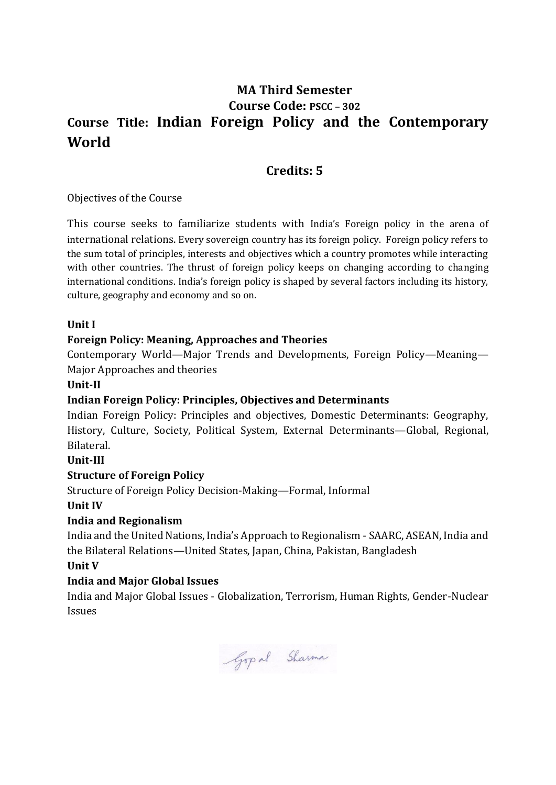## **MA Third Semester Course Code: PSCC – 302 Course Title: Indian Foreign Policy and the Contemporary World**

## **Credits: 5**

Objectives of the Course

This course seeks to familiarize students with India's Foreign policy in the arena of international relations. Every sovereign country has its foreign policy. Foreign policy refers to the sum total of principles, interests and objectives which a country promotes while interacting with other countries. The thrust of foreign policy keeps on changing according to changing international conditions. India's foreign policy is shaped by several factors including its history, culture, geography and economy and so on.

## **Unit I**

### **Foreign Policy: Meaning, Approaches and Theories**

Contemporary World—Major Trends and Developments, Foreign Policy—Meaning— Major Approaches and theories

#### **Unit-II**

#### **Indian Foreign Policy: Principles, Objectives and Determinants**

Indian Foreign Policy: Principles and objectives, Domestic Determinants: Geography, History, Culture, Society, Political System, External Determinants—Global, Regional, Bilateral.

#### **Unit-III**

#### **Structure of Foreign Policy**

Structure of Foreign Policy Decision-Making—Formal, Informal

#### **Unit IV**

## **India and Regionalism**

India and the United Nations, India's Approach to Regionalism - SAARC, ASEAN, India and the Bilateral Relations—United States, Japan, China, Pakistan, Bangladesh

#### **Unit V**

## **India and Major Global Issues**

India and Major Global Issues - Globalization, Terrorism, Human Rights, Gender-Nuclear Issues

Gop al Sharma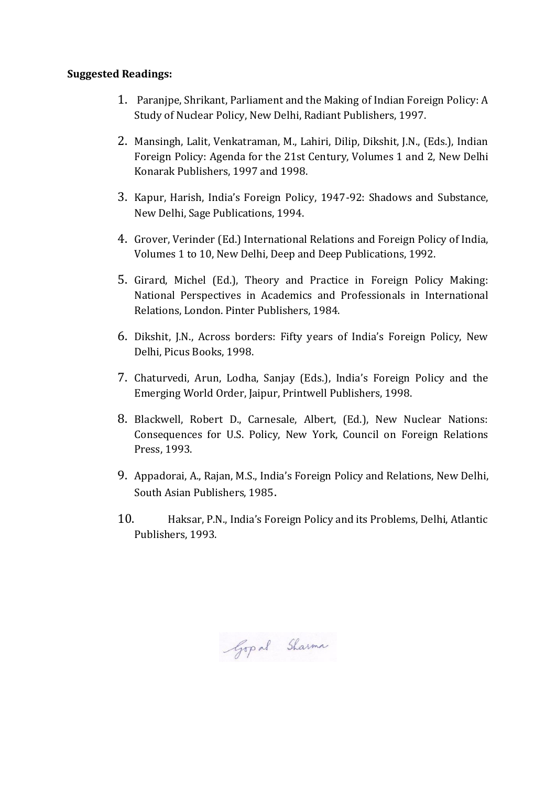### **Suggested Readings:**

- 1. Paranjpe, Shrikant, Parliament and the Making of Indian Foreign Policy: A Study of Nuclear Policy, New Delhi, Radiant Publishers, 1997.
- 2. Mansingh, Lalit, Venkatraman, M., Lahiri, Dilip, Dikshit, J.N., (Eds.), Indian Foreign Policy: Agenda for the 21st Century, Volumes 1 and 2, New Delhi Konarak Publishers, 1997 and 1998.
- 3. Kapur, Harish, India's Foreign Policy, 1947-92: Shadows and Substance, New Delhi, Sage Publications, 1994.
- 4. Grover, Verinder (Ed.) International Relations and Foreign Policy of India, Volumes 1 to 10, New Delhi, Deep and Deep Publications, 1992.
- 5. Girard, Michel (Ed.), Theory and Practice in Foreign Policy Making: National Perspectives in Academics and Professionals in International Relations, London. Pinter Publishers, 1984.
- 6. Dikshit, J.N., Across borders: Fifty years of India's Foreign Policy, New Delhi, Picus Books, 1998.
- 7. Chaturvedi, Arun, Lodha, Sanjay (Eds.), India's Foreign Policy and the Emerging World Order, Jaipur, Printwell Publishers, 1998.
- 8. Blackwell, Robert D., Carnesale, Albert, (Ed.), New Nuclear Nations: Consequences for U.S. Policy, New York, Council on Foreign Relations Press, 1993.
- 9. Appadorai, A., Rajan, M.S., India's Foreign Policy and Relations, New Delhi, South Asian Publishers, 1985.
- 10. Haksar, P.N., India's Foreign Policy and its Problems, Delhi, Atlantic Publishers, 1993.

Gopal Sharma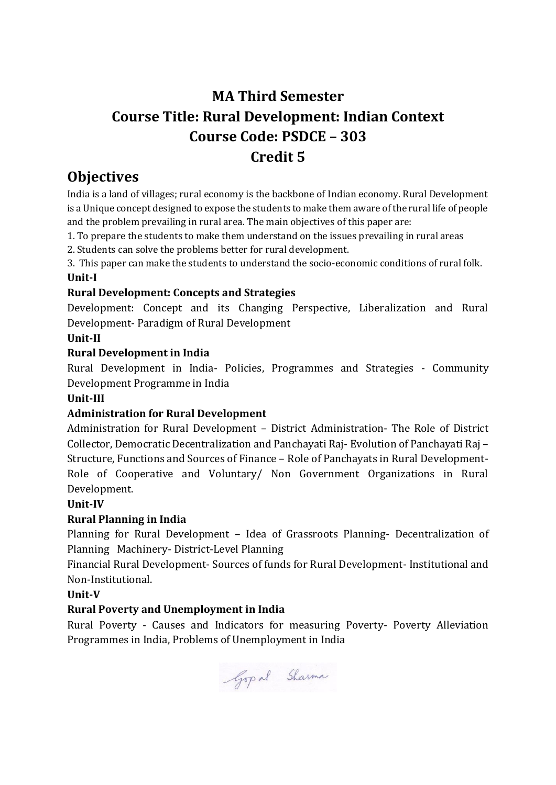## **MA Third Semester Course Title: Rural Development: Indian Context Course Code: PSDCE – 303 Credit 5**

## **Objectives**

India is a land of villages; rural economy is the backbone of Indian economy. Rural Development is a Unique concept designed to expose the students to make them aware of the rural life of people and the problem prevailing in rural area. The main objectives of this paper are:

1. To prepare the students to make them understand on the issues prevailing in rural areas

2. Students can solve the problems better for rural development.

3. This paper can make the students to understand the socio-economic conditions of rural folk. **Unit-I**

## **Rural Development: Concepts and Strategies**

Development: Concept and its Changing Perspective, Liberalization and Rural Development- Paradigm of Rural Development

## **Unit-II**

## **Rural Development in India**

Rural Development in India- Policies, Programmes and Strategies - Community Development Programme in India

## **Unit-III**

## **Administration for Rural Development**

Administration for Rural Development – District Administration- The Role of District Collector, Democratic Decentralization and Panchayati Raj- Evolution of Panchayati Raj – Structure, Functions and Sources of Finance – Role of Panchayats in Rural Development-Role of Cooperative and Voluntary/ Non Government Organizations in Rural Development.

## **Unit-IV**

## **Rural Planning in India**

Planning for Rural Development – Idea of Grassroots Planning- Decentralization of Planning Machinery- District-Level Planning

Financial Rural Development- Sources of funds for Rural Development- Institutional and Non-Institutional.

## **Unit-V**

## **Rural Poverty and Unemployment in India**

Rural Poverty - Causes and Indicators for measuring Poverty- Poverty Alleviation Programmes in India, Problems of Unemployment in India

Gopal Sharma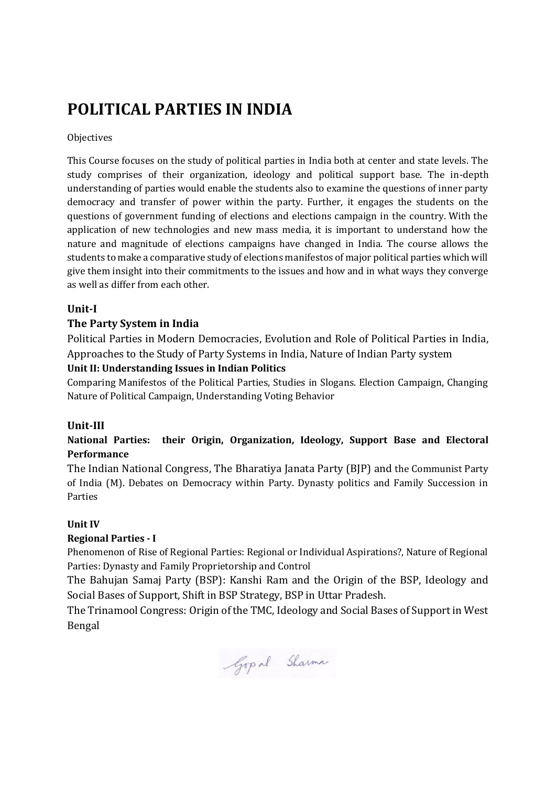# **POLITICAL PARTIES IN INDIA**

**Objectives** 

This Course focuses on the study of political parties in India both at center and state levels. The study comprises of their organization, ideology and political support base. The in-depth understanding of parties would enable the students also to examine the questions of inner party democracy and transfer of power within the party. Further, it engages the students on the questions of government funding of elections and elections campaign in the country. With the application of new technologies and new mass media, it is important to understand how the nature and magnitude of elections campaigns have changed in India. The course allows the students to make a comparative study of elections manifestos of major political parties which will give them insight into their commitments to the issues and how and in what ways they converge as well as differ from each other.

## **Unit-I**

## **The Party System in India**

Political Parties in Modern Democracies, Evolution and Role of Political Parties in India, Approaches to the Study of Party Systems in India, Nature of Indian Party system

### **Unit II: Understanding Issues in Indian Politics**

Comparing Manifestos of the Political Parties, Studies in Slogans. Election Campaign, Changing Nature of Political Campaign, Understanding Voting Behavior

#### **Unit-III**

## **National Parties: their Origin, Organization, Ideology, Support Base and Electoral Performance**

The Indian National Congress, The Bharatiya Janata Party (BJP) and the Communist Party of India (M). Debates on Democracy within Party. Dynasty politics and Family Succession in Parties

#### **Unit IV**

#### **Regional Parties - I**

Phenomenon of Rise of Regional Parties: Regional or Individual Aspirations?, Nature of Regional Parties: Dynasty and Family Proprietorship and Control

The Bahujan Samaj Party (BSP): Kanshi Ram and the Origin of the BSP, Ideology and Social Bases of Support, Shift in BSP Strategy, BSP in Uttar Pradesh.

The Trinamool Congress: Origin of the TMC, Ideology and Social Bases of Support in West Bengal

Gop al Sharma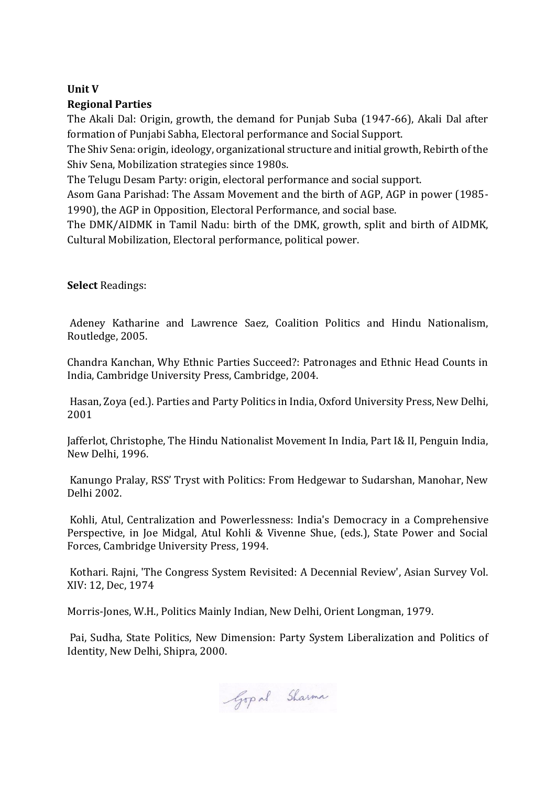## **Unit V Regional Parties**

The Akali Dal: Origin, growth, the demand for Punjab Suba (1947-66), Akali Dal after formation of Punjabi Sabha, Electoral performance and Social Support.

The Shiv Sena: origin, ideology, organizational structure and initial growth, Rebirth of the Shiv Sena, Mobilization strategies since 1980s.

The Telugu Desam Party: origin, electoral performance and social support.

Asom Gana Parishad: The Assam Movement and the birth of AGP, AGP in power (1985- 1990), the AGP in Opposition, Electoral Performance, and social base.

The DMK/AIDMK in Tamil Nadu: birth of the DMK, growth, split and birth of AIDMK, Cultural Mobilization, Electoral performance, political power.

**Select** Readings:

Adeney Katharine and Lawrence Saez, Coalition Politics and Hindu Nationalism, Routledge, 2005.

Chandra Kanchan, Why Ethnic Parties Succeed?: Patronages and Ethnic Head Counts in India, Cambridge University Press, Cambridge, 2004.

Hasan, Zoya (ed.). Parties and Party Politics in India, Oxford University Press, New Delhi, 2001

Jafferlot, Christophe, The Hindu Nationalist Movement In India, Part I& II, Penguin India, New Delhi, 1996.

Kanungo Pralay, RSS' Tryst with Politics: From Hedgewar to Sudarshan, Manohar, New Delhi 2002.

Kohli, Atul, Centralization and Powerlessness: India's Democracy in a Comprehensive Perspective, in Joe Midgal, Atul Kohli & Vivenne Shue, (eds.), State Power and Social Forces, Cambridge University Press, 1994.

Kothari. Rajni, 'The Congress System Revisited: A Decennial Review', Asian Survey Vol. XIV: 12, Dec, 1974

Morris-Jones, W.H., Politics Mainly Indian, New Delhi, Orient Longman, 1979.

Pai, Sudha, State Politics, New Dimension: Party System Liberalization and Politics of Identity, New Delhi, Shipra, 2000.

Gop al Sharma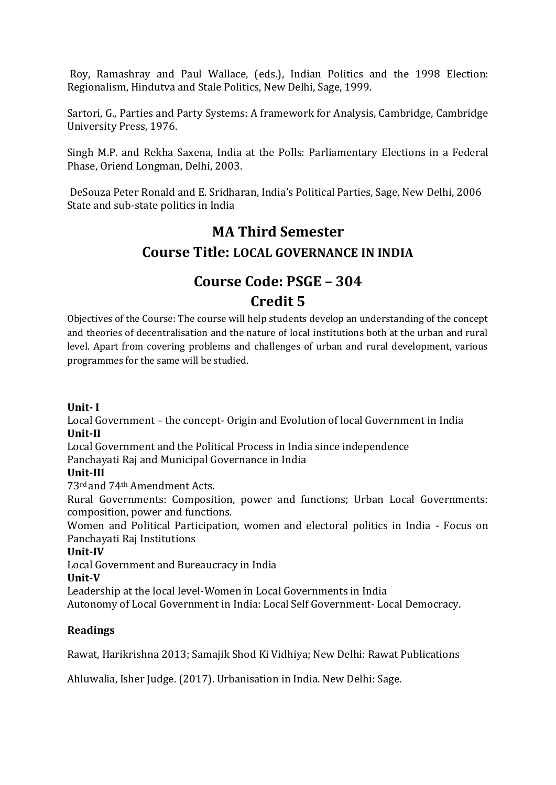Roy, Ramashray and Paul Wallace, (eds.), Indian Politics and the 1998 Election: Regionalism, Hindutva and Stale Politics, New Delhi, Sage, 1999.

Sartori, G., Parties and Party Systems: A framework for Analysis, Cambridge, Cambridge University Press, 1976.

Singh M.P. and Rekha Saxena, India at the Polls: Parliamentary Elections in a Federal Phase, Oriend Longman, Delhi, 2003.

DeSouza Peter Ronald and E. Sridharan, India's Political Parties, Sage, New Delhi, 2006 State and sub-state politics in India

## **MA Third Semester Course Title: LOCAL GOVERNANCE IN INDIA**

## **Course Code: PSGE – 304 Credit 5**

Objectives of the Course: The course will help students develop an understanding of the concept and theories of decentralisation and the nature of local institutions both at the urban and rural level. Apart from covering problems and challenges of urban and rural development, various programmes for the same will be studied.

## **Unit- I**

Local Government – the concept- Origin and Evolution of local Government in India **Unit-II**

Local Government and the Political Process in India since independence

Panchayati Raj and Municipal Governance in India

## **Unit-III**

73rd and 74th Amendment Acts.

Rural Governments: Composition, power and functions; Urban Local Governments: composition, power and functions.

Women and Political Participation, women and electoral politics in India - Focus on Panchayati Raj Institutions

## **Unit-IV**

Local Government and Bureaucracy in India

**Unit-V**

Leadership at the local level-Women in Local Governments in India

Autonomy of Local Government in India: Local Self Government- Local Democracy.

## **Readings**

Rawat, Harikrishna 2013; Samajik Shod Ki Vidhiya; New Delhi: Rawat Publications

Ahluwalia, Isher Judge. (2017). Urbanisation in India. New Delhi: Sage.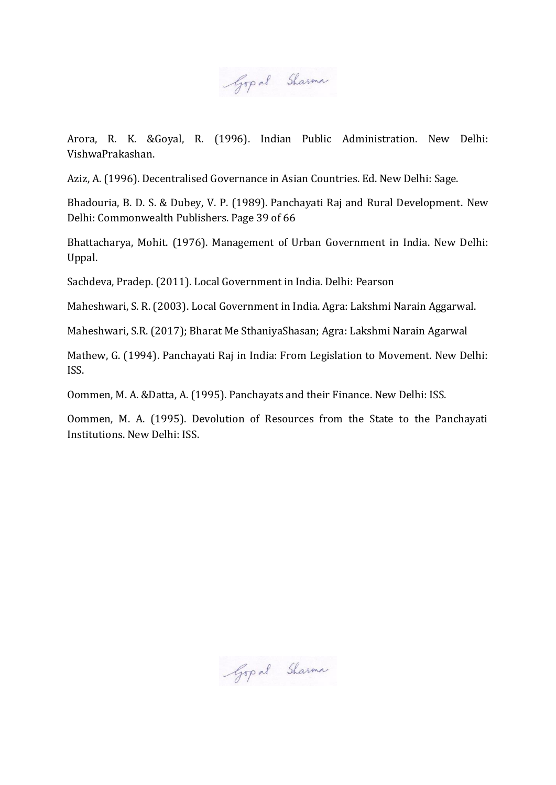Gopal Sharma

Arora, R. K. &Goyal, R. (1996). Indian Public Administration. New Delhi: VishwaPrakashan.

Aziz, A. (1996). Decentralised Governance in Asian Countries. Ed. New Delhi: Sage.

Bhadouria, B. D. S. & Dubey, V. P. (1989). Panchayati Raj and Rural Development. New Delhi: Commonwealth Publishers. Page 39 of 66

Bhattacharya, Mohit. (1976). Management of Urban Government in India. New Delhi: Uppal.

Sachdeva, Pradep. (2011). Local Government in India. Delhi: Pearson

Maheshwari, S. R. (2003). Local Government in India. Agra: Lakshmi Narain Aggarwal.

Maheshwari, S.R. (2017); Bharat Me SthaniyaShasan; Agra: Lakshmi Narain Agarwal

Mathew, G. (1994). Panchayati Raj in India: From Legislation to Movement. New Delhi: ISS.

Oommen, M. A. &Datta, A. (1995). Panchayats and their Finance. New Delhi: ISS.

Oommen, M. A. (1995). Devolution of Resources from the State to the Panchayati Institutions. New Delhi: ISS.

Gop al Sharma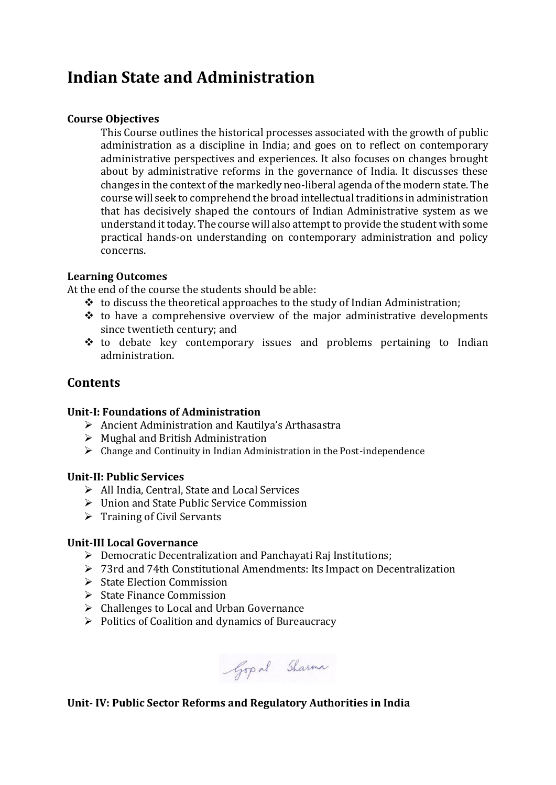## **Indian State and Administration**

### **Course Objectives**

This Course outlines the historical processes associated with the growth of public administration as a discipline in India; and goes on to reflect on contemporary administrative perspectives and experiences. It also focuses on changes brought about by administrative reforms in the governance of India. It discusses these changes in the context of the markedly neo-liberal agenda of the modern state. The course will seek to comprehend the broad intellectual traditions in administration that has decisively shaped the contours of Indian Administrative system as we understand it today. The course will also attempt to provide the student with some practical hands-on understanding on contemporary administration and policy concerns.

### **Learning Outcomes**

At the end of the course the students should be able:

- $\cdot \cdot$  to discuss the theoretical approaches to the study of Indian Administration;
- $\triangle$  to have a comprehensive overview of the major administrative developments since twentieth century; and
- $\div$  to debate key contemporary issues and problems pertaining to Indian administration.

## **Contents**

#### **Unit-I: Foundations of Administration**

- $\triangleright$  Ancient Administration and Kautilya's Arthasastra
- $\triangleright$  Mughal and British Administration
- $\triangleright$  Change and Continuity in Indian Administration in the Post-independence

#### **Unit-II: Public Services**

- All India, Central, State and Local Services
- Union and State Public Service Commission
- $\triangleright$  Training of Civil Servants

#### **Unit-III Local Governance**

- Democratic Decentralization and Panchayati Raj Institutions;
- 73rd and 74th Constitutional Amendments: Its Impact on Decentralization
- $\triangleright$  State Election Commission
- $\triangleright$  State Finance Commission
- Challenges to Local and Urban Governance
- $\triangleright$  Politics of Coalition and dynamics of Bureaucracy

Gop al Sharma

## **Unit- IV: Public Sector Reforms and Regulatory Authorities in India**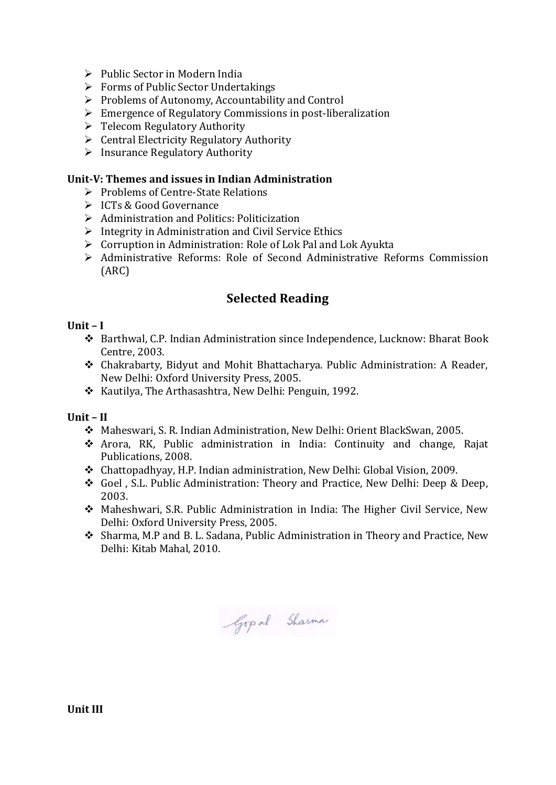- $\triangleright$  Public Sector in Modern India
- $\triangleright$  Forms of Public Sector Undertakings
- $\triangleright$  Problems of Autonomy, Accountability and Control
- $\triangleright$  Emergence of Regulatory Commissions in post-liberalization
- $\triangleright$  Telecom Regulatory Authority
- $\triangleright$  Central Electricity Regulatory Authority
- $\triangleright$  Insurance Regulatory Authority

### **Unit-V: Themes and issues in Indian Administration**

- $\triangleright$  Problems of Centre-State Relations
- **► ICTs & Good Governance**
- $\triangleright$  Administration and Politics: Politicization
- $\triangleright$  Integrity in Administration and Civil Service Ethics
- $\triangleright$  Corruption in Administration: Role of Lok Pal and Lok Ayukta
- Administrative Reforms: Role of Second Administrative Reforms Commission (ARC)

## **Selected Reading**

## **Unit – I**

- Barthwal, C.P. Indian Administration since Independence, Lucknow: Bharat Book Centre, 2003.
- Chakrabarty, Bidyut and Mohit Bhattacharya. Public Administration: A Reader, New Delhi: Oxford University Press, 2005.
- \* Kautilya, The Arthasashtra, New Delhi: Penguin, 1992.

**Unit – II**

- Maheswari, S. R. Indian Administration, New Delhi: Orient BlackSwan, 2005.
- Arora, RK, Public administration in India: Continuity and change, Rajat Publications, 2008.
- Chattopadhyay, H.P. Indian administration, New Delhi: Global Vision, 2009.
- Goel , S.L. Public Administration: Theory and Practice, New Delhi: Deep & Deep, 2003.
- Maheshwari, S.R. Public Administration in India: The Higher Civil Service, New Delhi: Oxford University Press, 2005.
- Sharma, M.P and B. L. Sadana, Public Administration in Theory and Practice, New Delhi: Kitab Mahal, 2010.

Gop al Sharma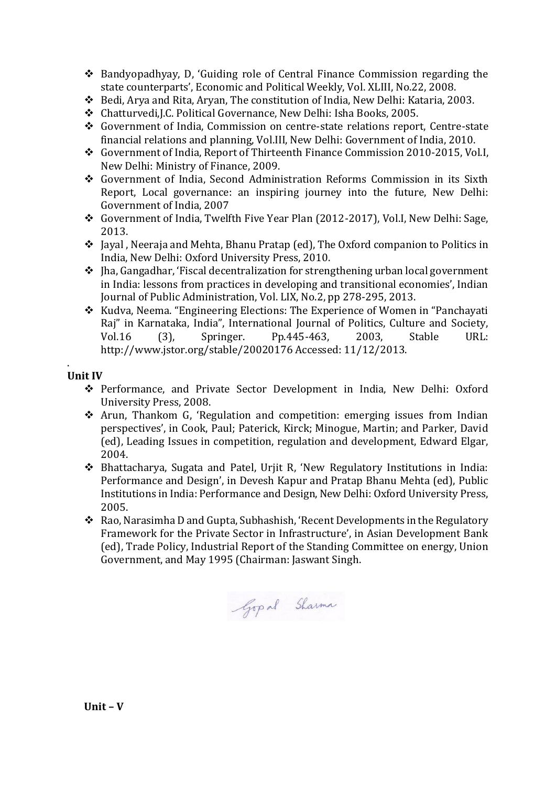- Bandyopadhyay, D, 'Guiding role of Central Finance Commission regarding the state counterparts', Economic and Political Weekly, Vol. XLIII, No.22, 2008.
- Bedi, Arya and Rita, Aryan, The constitution of India, New Delhi: Kataria, 2003.
- Chatturvedi,J.C. Political Governance, New Delhi: Isha Books, 2005.
- Government of India, Commission on centre-state relations report, Centre-state financial relations and planning, Vol.III, New Delhi: Government of India, 2010.
- Government of India, Report of Thirteenth Finance Commission 2010-2015, Vol.I, New Delhi: Ministry of Finance, 2009.
- Government of India, Second Administration Reforms Commission in its Sixth Report, Local governance: an inspiring journey into the future, New Delhi: Government of India, 2007
- Government of India, Twelfth Five Year Plan (2012-2017), Vol.I, New Delhi: Sage, 2013.
- Jayal , Neeraja and Mehta, Bhanu Pratap (ed), The Oxford companion to Politics in India, New Delhi: Oxford University Press, 2010.
- $\triangleq$  [ha, Gangadhar, 'Fiscal decentralization for strengthening urban local government in India: lessons from practices in developing and transitional economies', Indian Journal of Public Administration, Vol. LIX, No.2, pp 278-295, 2013.
- \* Kudva, Neema. "Engineering Elections: The Experience of Women in "Panchayati Raj" in Karnataka, India", International Journal of Politics, Culture and Society, Vol.16 (3), Springer. Pp.445-463, 2003, Stable URL: http://www.jstor.org/stable/20020176 Accessed: 11/12/2013.

#### . **Unit IV**

- Performance, and Private Sector Development in India, New Delhi: Oxford University Press, 2008.
- Arun, Thankom G, 'Regulation and competition: emerging issues from Indian perspectives', in Cook, Paul; Paterick, Kirck; Minogue, Martin; and Parker, David (ed), Leading Issues in competition, regulation and development, Edward Elgar, 2004.
- Bhattacharya, Sugata and Patel, Urjit R, 'New Regulatory Institutions in India: Performance and Design', in Devesh Kapur and Pratap Bhanu Mehta (ed), Public Institutions in India: Performance and Design, New Delhi: Oxford University Press, 2005.
- Rao, Narasimha D and Gupta, Subhashish, 'Recent Developments in the Regulatory Framework for the Private Sector in Infrastructure', in Asian Development Bank (ed), Trade Policy, Industrial Report of the Standing Committee on energy, Union Government, and May 1995 (Chairman: Jaswant Singh.

Gop al Sharma